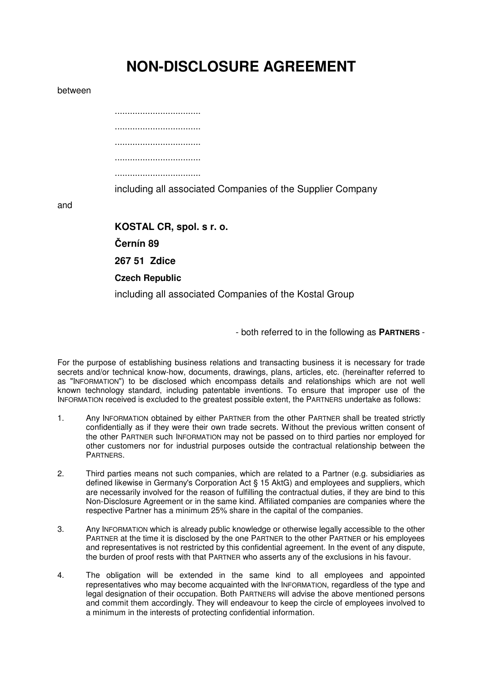## **NON-DISCLOSURE AGREEMENT**

## between

and

| .                                                          |
|------------------------------------------------------------|
|                                                            |
|                                                            |
| including all associated Companies of the Supplier Company |
|                                                            |
| KOSTAL CR, spol. s r. o.                                   |
|                                                            |
| Černín 89                                                  |
| 267 51 Zdice                                               |

**Czech Republic** 

including all associated Companies of the Kostal Group

- both referred to in the following as PARTNERS -

For the purpose of establishing business relations and transacting business it is necessary for trade secrets and/or technical know-how, documents, drawings, plans, articles, etc. (hereinafter referred to as "INFORMATION") to be disclosed which encompass details and relationships which are not well known technology standard, including patentable inventions. To ensure that improper use of the INFORMATION received is excluded to the greatest possible extent, the PARTNERS undertake as follows:

- $1.$ Any INFORMATION obtained by either PARTNER from the other PARTNER shall be treated strictly confidentially as if they were their own trade secrets. Without the previous written consent of the other PARTNER such INFORMATION may not be passed on to third parties nor employed for other customers nor for industrial purposes outside the contractual relationship between the PARTNERS.
- $\overline{2}$ . Third parties means not such companies, which are related to a Partner (e.g. subsidiaries as defined likewise in Germany's Corporation Act § 15 AktG) and employees and suppliers, which are necessarily involved for the reason of fulfilling the contractual duties, if they are bind to this Non-Disclosure Agreement or in the same kind. Affiliated companies are companies where the respective Partner has a minimum 25% share in the capital of the companies.
- 3. Any INFORMATION which is already public knowledge or otherwise legally accessible to the other PARTNER at the time it is disclosed by the one PARTNER to the other PARTNER or his employees and representatives is not restricted by this confidential agreement. In the event of any dispute, the burden of proof rests with that PARTNER who asserts any of the exclusions in his favour.
- 4. The obligation will be extended in the same kind to all employees and appointed representatives who may become acquainted with the INFORMATION, regardless of the type and legal designation of their occupation. Both PARTNERS will advise the above mentioned persons and commit them accordingly. They will endeavour to keep the circle of employees involved to a minimum in the interests of protecting confidential information.